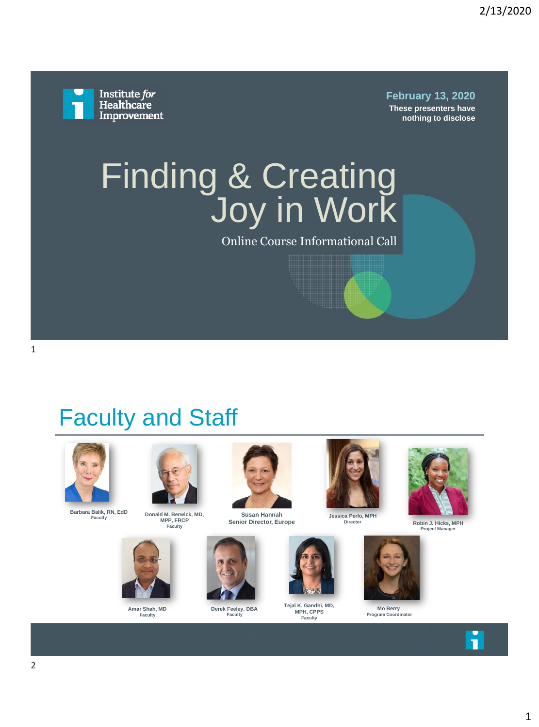

**February 13, 2020 These presenters have** 

**nothing to disclose**

# Finding & Creating Joy in Work

Online Course Informational Call

# Faculty and Staff



**Barbara Balik, RN, EdD**



**Donald M. Berwick, MD, MPP, FRCP Faculty**



**Amar Shah, MD Faculty**



**Susan Hannah Senior Director, Europe**



**Derek Feeley, DBA Faculty**



**Jessica Perlo, MPH Director**



**Tejal K. Gandhi, MD, MPH, CPPS Faculty**



**Robin J. Hicks, MPH**



**Mo Berry Program Coordinator**



**Project Manager**

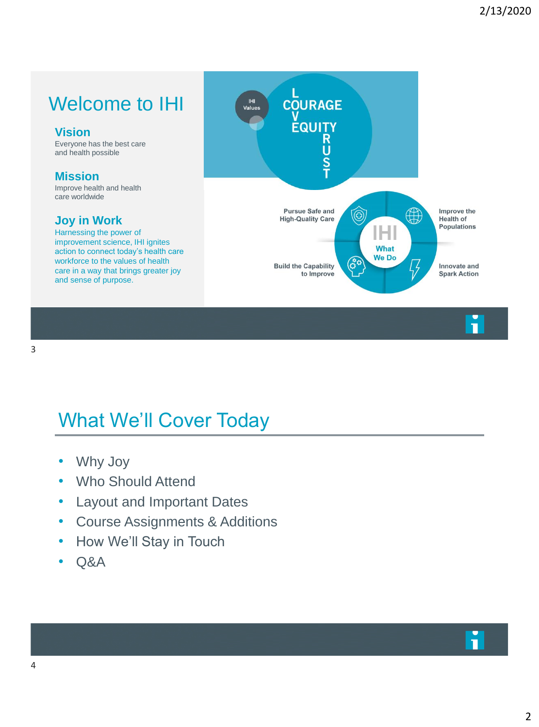#### Welcome to IHI

#### **Vision**

Everyone has the best care and health possible

#### **Mission**

Improve health and health care worldwide

#### **Joy in Work**

Harnessing the power of improvement science, IHI ignites action to connect today's health care workforce to the values of health care in a way that brings greater joy and sense of purpose.



# What We'll Cover Today

- Why Joy
- Who Should Attend
- Layout and Important Dates
- Course Assignments & Additions
- How We'll Stay in Touch
- Q&A

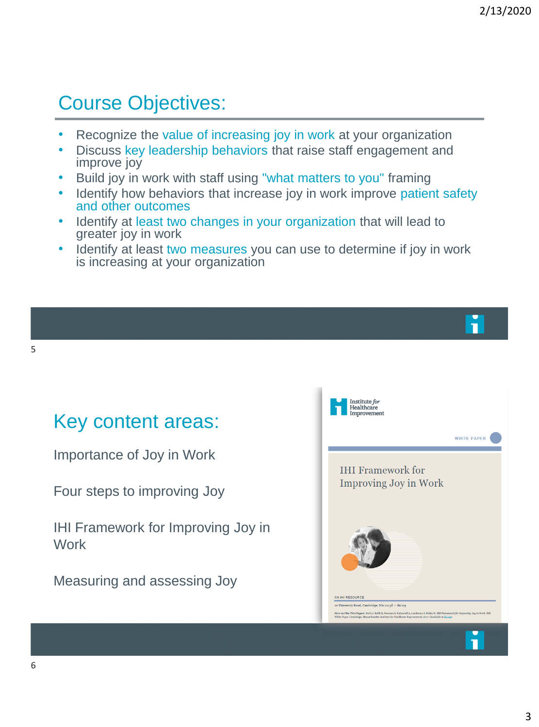### Course Objectives:

- Recognize the value of increasing joy in work at your organization
- Discuss key leadership behaviors that raise staff engagement and improve joy
- Build joy in work with staff using "what matters to you" framing
- Identify how behaviors that increase joy in work improve patient safety and other outcomes
- Identify at least two changes in your organization that will lead to greater joy in work
- Identify at least two measures you can use to determine if joy in work is increasing at your organization

#### Key content areas:

Importance of Joy in Work

Four steps to improving Joy

IHI Framework for Improving Joy in **Work** 

Measuring and assessing Joy

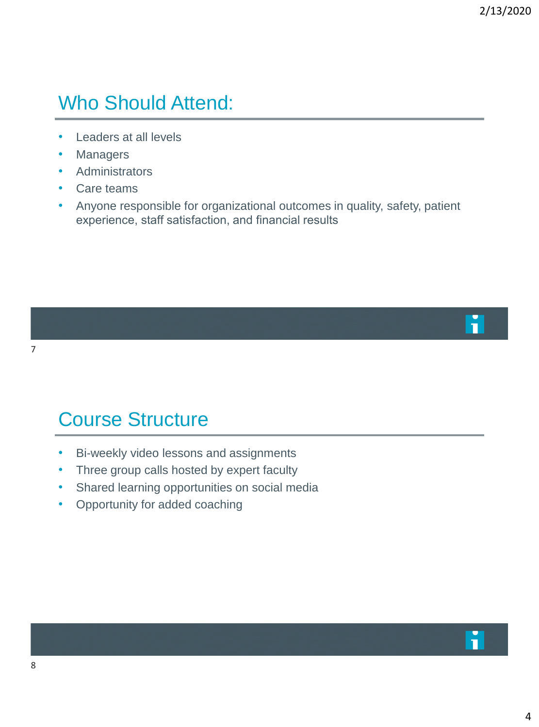#### Who Should Attend:

- Leaders at all levels
- **Managers**
- Administrators
- Care teams
- Anyone responsible for organizational outcomes in quality, safety, patient experience, staff satisfaction, and financial results



### Course Structure

- Bi-weekly video lessons and assignments
- Three group calls hosted by expert faculty
- Shared learning opportunities on social media
- Opportunity for added coaching

П

7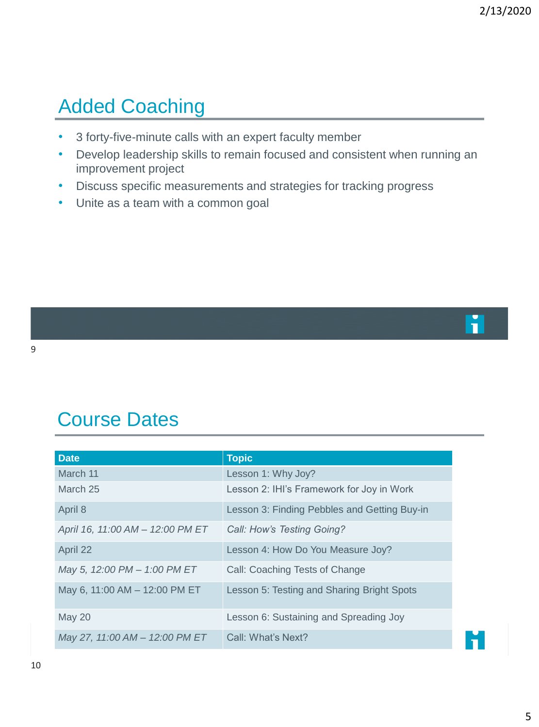### Added Coaching

- 3 forty-five-minute calls with an expert faculty member
- Develop leadership skills to remain focused and consistent when running an improvement project
- Discuss specific measurements and strategies for tracking progress
- Unite as a team with a common goal

### Course Dates

| <b>Date</b>                      | <b>Topic</b>                                 |
|----------------------------------|----------------------------------------------|
| March 11                         | Lesson 1: Why Joy?                           |
| March 25                         | Lesson 2: IHI's Framework for Joy in Work    |
| April 8                          | Lesson 3: Finding Pebbles and Getting Buy-in |
| April 16, 11:00 AM - 12:00 PM ET | Call: How's Testing Going?                   |
| April 22                         | Lesson 4: How Do You Measure Joy?            |
| May 5, 12:00 PM - 1:00 PM ET     | Call: Coaching Tests of Change               |
| May 6, 11:00 AM - 12:00 PM ET    | Lesson 5: Testing and Sharing Bright Spots   |
| <b>May 20</b>                    | Lesson 6: Sustaining and Spreading Joy       |
| May 27, 11:00 AM - 12:00 PM ET   | Call: What's Next?                           |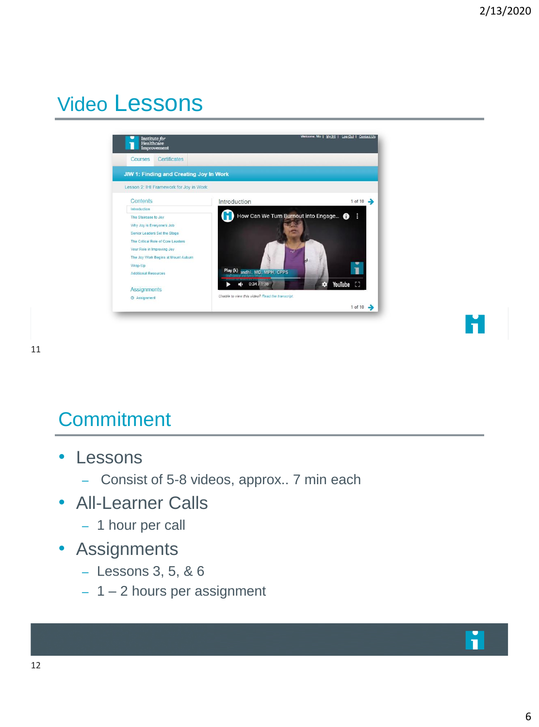# Video Lessons





### **Commitment**

- Lessons
	- Consist of 5-8 videos, approx.. 7 min each
- All-Learner Calls
	- 1 hour per call
- Assignments
	- Lessons 3, 5, & 6
	- 1 2 hours per assignment